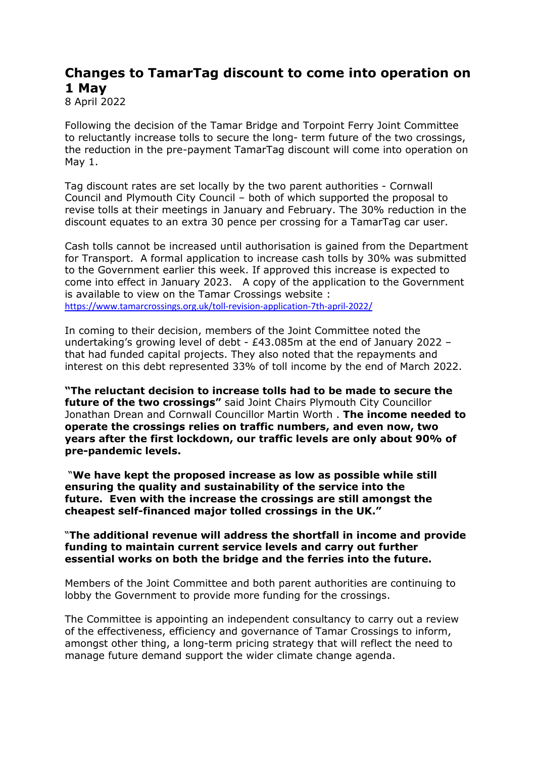## **Changes to TamarTag discount to come into operation on 1 May**

8 April 2022

Following the decision of the Tamar Bridge and Torpoint Ferry Joint Committee to reluctantly increase tolls to secure the long- term future of the two crossings, the reduction in the pre-payment TamarTag discount will come into operation on May 1.

Tag discount rates are set locally by the two parent authorities - Cornwall Council and Plymouth City Council – both of which supported the proposal to revise tolls at their meetings in January and February. The 30% reduction in the discount equates to an extra 30 pence per crossing for a TamarTag car user.

Cash tolls cannot be increased until authorisation is gained from the Department for Transport. A formal application to increase cash tolls by 30% was submitted to the Government earlier this week. If approved this increase is expected to come into effect in January 2023. A copy of the application to the Government is available to view on the Tamar Crossings website : <https://www.tamarcrossings.org.uk/toll-revision-application-7th-april-2022/>

In coming to their decision, members of the Joint Committee noted the undertaking's growing level of debt - £43.085m at the end of January 2022 – that had funded capital projects. They also noted that the repayments and interest on this debt represented 33% of toll income by the end of March 2022.

**"The reluctant decision to increase tolls had to be made to secure the future of the two crossings"** said Joint Chairs Plymouth City Councillor Jonathan Drean and Cornwall Councillor Martin Worth . **The income needed to operate the crossings relies on traffic numbers, and even now, two years after the first lockdown, our traffic levels are only about 90% of pre-pandemic levels.**

"**We have kept the proposed increase as low as possible while still ensuring the quality and sustainability of the service into the future. Even with the increase the crossings are still amongst the cheapest self-financed major tolled crossings in the UK."**

## "**The additional revenue will address the shortfall in income and provide funding to maintain current service levels and carry out further essential works on both the bridge and the ferries into the future.**

Members of the Joint Committee and both parent authorities are continuing to lobby the Government to provide more funding for the crossings.

The Committee is appointing an independent consultancy to carry out a review of the effectiveness, efficiency and governance of Tamar Crossings to inform, amongst other thing, a long-term pricing strategy that will reflect the need to manage future demand support the wider climate change agenda.